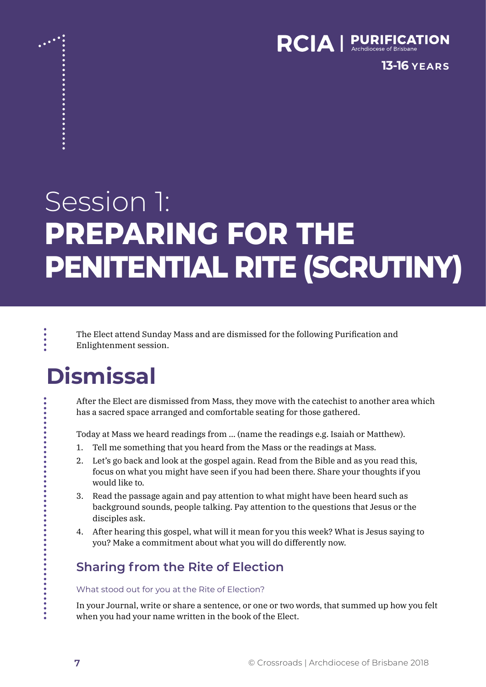

**13-16 YEARS**

# Session 1: **PREPARING FOR THE PENITENTIAL RITE (SCRUTINY)**

The Elect attend Sunday Mass and are dismissed for the following Purification and Enlightenment session.

## **Dismissal**

After the Elect are dismissed from Mass, they move with the catechist to another area which has a sacred space arranged and comfortable seating for those gathered.

Today at Mass we heard readings from … (name the readings e.g. Isaiah or Matthew).

- 1. Tell me something that you heard from the Mass or the readings at Mass.
- 2. Let's go back and look at the gospel again. Read from the Bible and as you read this, focus on what you might have seen if you had been there. Share your thoughts if you would like to.
- 3. Read the passage again and pay attention to what might have been heard such as background sounds, people talking. Pay attention to the questions that Jesus or the disciples ask.
- 4. After hearing this gospel, what will it mean for you this week? What is Jesus saying to you? Make a commitment about what you will do differently now.

#### **Sharing from the Rite of Election**

What stood out for you at the Rite of Election?

In your Journal, write or share a sentence, or one or two words, that summed up how you felt when you had your name written in the book of the Elect.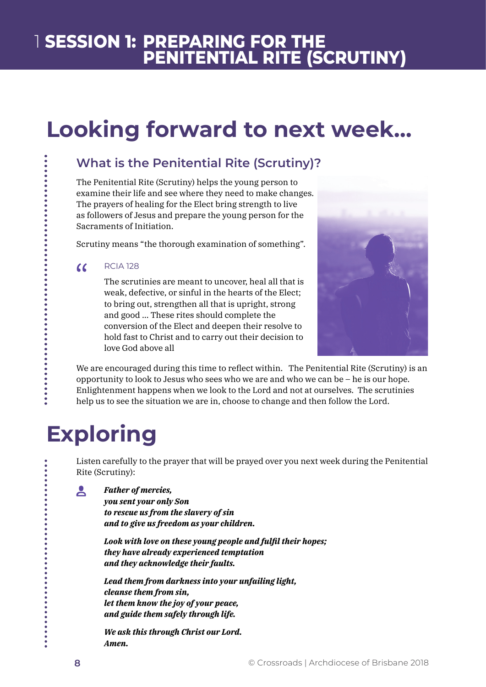## **Looking forward to next week...**

### **What is the Penitential Rite (Scrutiny)?**

The Penitential Rite (Scrutiny) helps the young person to examine their life and see where they need to make changes. The prayers of healing for the Elect bring strength to live as followers of Jesus and prepare the young person for the Sacraments of Initiation.

Scrutiny means "the thorough examination of something".

#### RCIA 128  $\alpha$

The scrutinies are meant to uncover, heal all that is weak, defective, or sinful in the hearts of the Elect; to bring out, strengthen all that is upright, strong and good … These rites should complete the conversion of the Elect and deepen their resolve to hold fast to Christ and to carry out their decision to love God above all



We are encouraged during this time to reflect within. The Penitential Rite (Scrutiny) is an opportunity to look to Jesus who sees who we are and who we can be – he is our hope. Enlightenment happens when we look to the Lord and not at ourselves. The scrutinies help us to see the situation we are in, choose to change and then follow the Lord.

## **Exploring**

Listen carefully to the prayer that will be prayed over you next week during the Penitential Rite (Scrutiny):

*Father of mercies,*  $\mathbf{A}$ 

> *you sent your only Son to rescue us from the slavery of sin and to give us freedom as your children.*

*Look with love on these young people and fulfil their hopes; they have already experienced temptation and they acknowledge their faults.*

*Lead them from darkness into your unfailing light, cleanse them from sin, let them know the joy of your peace, and guide them safely through life.*

*We ask this through Christ our Lord. Amen.*